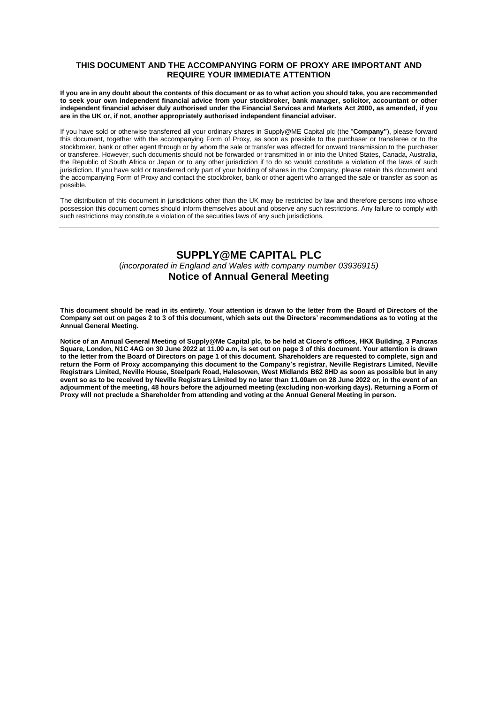#### **THIS DOCUMENT AND THE ACCOMPANYING FORM OF PROXY ARE IMPORTANT AND REQUIRE YOUR IMMEDIATE ATTENTION**

**If you are in any doubt about the contents of this document or as to what action you should take, you are recommended to seek your own independent financial advice from your stockbroker, bank manager, solicitor, accountant or other independent financial adviser duly authorised under the Financial Services and Markets Act 2000, as amended, if you are in the UK or, if not, another appropriately authorised independent financial adviser.**

If you have sold or otherwise transferred all your ordinary shares in Supply@ME Capital plc (the "**Company"**), please forward this document, together with the accompanying Form of Proxy, as soon as possible to the purchaser or transferee or to the stockbroker, bank or other agent through or by whom the sale or transfer was effected for onward transmission to the purchaser or transferee. However, such documents should not be forwarded or transmitted in or into the United States, Canada, Australia, the Republic of South Africa or Japan or to any other jurisdiction if to do so would constitute a violation of the laws of such jurisdiction. If you have sold or transferred only part of your holding of shares in the Company, please retain this document and the accompanying Form of Proxy and contact the stockbroker, bank or other agent who arranged the sale or transfer as soon as possible.

The distribution of this document in jurisdictions other than the UK may be restricted by law and therefore persons into whose possession this document comes should inform themselves about and observe any such restrictions. Any failure to comply with such restrictions may constitute a violation of the securities laws of any such jurisdictions.

# **SUPPLY@ME CAPITAL PLC** (*incorporated in England and Wales with company number 03936915)* **Notice of Annual General Meeting**

**This document should be read in its entirety. Your attention is drawn to the letter from the Board of Directors of the Company set out on pages 2 to 3 of this document, which sets out the Directors' recommendations as to voting at the Annual General Meeting.**

**Notice of an Annual General Meeting of Supply@Me Capital plc, to be held at Cicero's offices, HKX Building, 3 Pancras Square, London, N1C 4AG on 30 June 2022 at 11.00 a.m, is set out on page 3 of this document. Your attention is drawn to the letter from the Board of Directors on page 1 of this document. Shareholders are requested to complete, sign and return the Form of Proxy accompanying this document to the Company's registrar, Neville Registrars Limited, Neville Registrars Limited, Neville House, Steelpark Road, Halesowen, West Midlands B62 8HD as soon as possible but in any event so as to be received by Neville Registrars Limited by no later than 11.00am on 28 June 2022 or, in the event of an adjournment of the meeting, 48 hours before the adjourned meeting (excluding non-working days). Returning a Form of Proxy will not preclude a Shareholder from attending and voting at the Annual General Meeting in person.**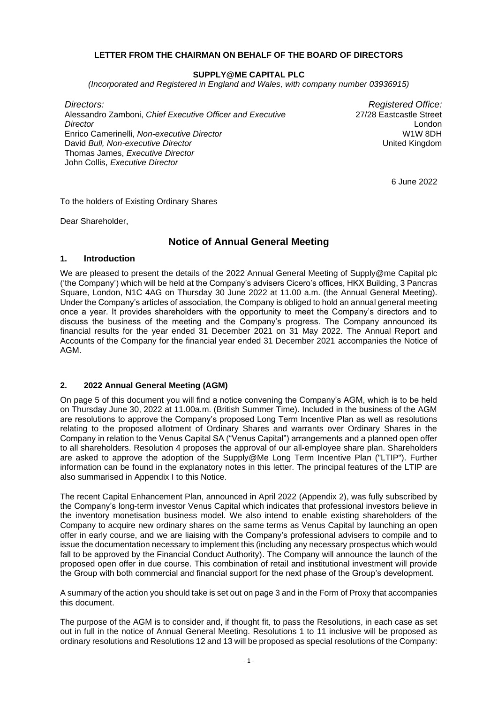# **LETTER FROM THE CHAIRMAN ON BEHALF OF THE BOARD OF DIRECTORS**

# **SUPPLY@ME CAPITAL PLC**

*(Incorporated and Registered in England and Wales, with company number 03936915)*

*Directors: Registered Office:* Alessandro Zamboni, *Chief Executive Officer and Executive Director* Enrico Camerinelli, *Non-executive Director* David *Bull, Non-executive Director* Thomas James, *Executive Director* John Collis, *Executive Director*

27/28 Eastcastle Street London W1W 8DH United Kingdom

6 June 2022

To the holders of Existing Ordinary Shares

Dear Shareholder,

# **Notice of Annual General Meeting**

# **1. Introduction**

We are pleased to present the details of the 2022 Annual General Meeting of Supply@me Capital plc ('the Company') which will be held at the Company's advisers Cicero's offices, HKX Building, 3 Pancras Square, London, N1C 4AG on Thursday 30 June 2022 at 11.00 a.m. (the Annual General Meeting). Under the Company's articles of association, the Company is obliged to hold an annual general meeting once a year. It provides shareholders with the opportunity to meet the Company's directors and to discuss the business of the meeting and the Company's progress. The Company announced its financial results for the year ended 31 December 2021 on 31 May 2022. The Annual Report and Accounts of the Company for the financial year ended 31 December 2021 accompanies the Notice of AGM.

# **2. 2022 Annual General Meeting (AGM)**

On page 5 of this document you will find a notice convening the Company's AGM, which is to be held on Thursday June 30, 2022 at 11.00a.m. (British Summer Time). Included in the business of the AGM are resolutions to approve the Company's proposed Long Term Incentive Plan as well as resolutions relating to the proposed allotment of Ordinary Shares and warrants over Ordinary Shares in the Company in relation to the Venus Capital SA ("Venus Capital") arrangements and a planned open offer to all shareholders. Resolution 4 proposes the approval of our all-employee share plan. Shareholders are asked to approve the adoption of the Supply@Me Long Term Incentive Plan ("LTIP"). Further information can be found in the explanatory notes in this letter. The principal features of the LTIP are also summarised in Appendix I to this Notice.

The recent Capital Enhancement Plan, announced in April 2022 (Appendix 2), was fully subscribed by the Company's long-term investor Venus Capital which indicates that professional investors believe in the inventory monetisation business model. We also intend to enable existing shareholders of the Company to acquire new ordinary shares on the same terms as Venus Capital by launching an open offer in early course, and we are liaising with the Company's professional advisers to compile and to issue the documentation necessary to implement this (including any necessary prospectus which would fall to be approved by the Financial Conduct Authority). The Company will announce the launch of the proposed open offer in due course. This combination of retail and institutional investment will provide the Group with both commercial and financial support for the next phase of the Group's development.

A summary of the action you should take is set out on page 3 and in the Form of Proxy that accompanies this document.

The purpose of the AGM is to consider and, if thought fit, to pass the Resolutions, in each case as set out in full in the notice of Annual General Meeting. Resolutions 1 to 11 inclusive will be proposed as ordinary resolutions and Resolutions 12 and 13 will be proposed as special resolutions of the Company: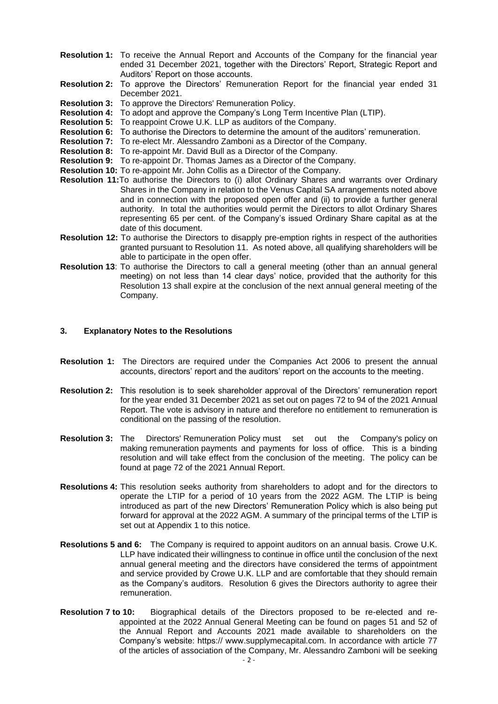- **Resolution 1:** To receive the Annual Report and Accounts of the Company for the financial year ended 31 December 2021, together with the Directors' Report, Strategic Report and Auditors' Report on those accounts.
- **Resolution 2:** To approve the Directors' Remuneration Report for the financial year ended 31 December 2021.
- **Resolution 3:** To approve the Directors' Remuneration Policy.
- **Resolution 4:** To adopt and approve the Company's Long Term Incentive Plan (LTIP).
- **Resolution 5:** To reappoint Crowe U.K. LLP as auditors of the Company.
- **Resolution 6:** To authorise the Directors to determine the amount of the auditors' remuneration.
- **Resolution 7:** To re-elect Mr. Alessandro Zamboni as a Director of the Company.
- **Resolution 8:** To re-appoint Mr. David Bull as a Director of the Company.
- **Resolution 9:** To re-appoint Dr. Thomas James as a Director of the Company.
- **Resolution 10:** To re-appoint Mr. John Collis as a Director of the Company.
- **Resolution 11:**To authorise the Directors to (i) allot Ordinary Shares and warrants over Ordinary Shares in the Company in relation to the Venus Capital SA arrangements noted above and in connection with the proposed open offer and (ii) to provide a further general authority. In total the authorities would permit the Directors to allot Ordinary Shares representing 65 per cent. of the Company's issued Ordinary Share capital as at the date of this document.
- **Resolution 12:** To authorise the Directors to disapply pre-emption rights in respect of the authorities granted pursuant to Resolution 11. As noted above, all qualifying shareholders will be able to participate in the open offer.
- **Resolution 13**: To authorise the Directors to call a general meeting (other than an annual general meeting) on not less than 14 clear days' notice, provided that the authority for this Resolution 13 shall expire at the conclusion of the next annual general meeting of the Company.

#### **3. Explanatory Notes to the Resolutions**

- **Resolution 1:** The Directors are required under the Companies Act 2006 to present the annual accounts, directors' report and the auditors' report on the accounts to the meeting.
- **Resolution 2:** This resolution is to seek shareholder approval of the Directors' remuneration report for the year ended 31 December 2021 as set out on pages 72 to 94 of the 2021 Annual Report. The vote is advisory in nature and therefore no entitlement to remuneration is conditional on the passing of the resolution.
- **Resolution 3:** The Directors' Remuneration Policy must set out the Company's policy on making remuneration payments and payments for loss of office. This is a binding resolution and will take effect from the conclusion of the meeting. The policy can be found at page 72 of the 2021 Annual Report.
- **Resolutions 4:** This resolution seeks authority from shareholders to adopt and for the directors to operate the LTIP for a period of 10 years from the 2022 AGM. The LTIP is being introduced as part of the new Directors' Remuneration Policy which is also being put forward for approval at the 2022 AGM. A summary of the principal terms of the LTIP is set out at Appendix 1 to this notice.
- **Resolutions 5 and 6:** The Company is required to appoint auditors on an annual basis. Crowe U.K. LLP have indicated their willingness to continue in office until the conclusion of the next annual general meeting and the directors have considered the terms of appointment and service provided by Crowe U.K. LLP and are comfortable that they should remain as the Company's auditors. Resolution 6 gives the Directors authority to agree their remuneration.
- **Resolution 7 to 10:** Biographical details of the Directors proposed to be re-elected and reappointed at the 2022 Annual General Meeting can be found on pages 51 and 52 of the Annual Report and Accounts 2021 made available to shareholders on the Company's website: https:// www.supplymecapital.com. In accordance with article 77 of the articles of association of the Company, Mr. Alessandro Zamboni will be seeking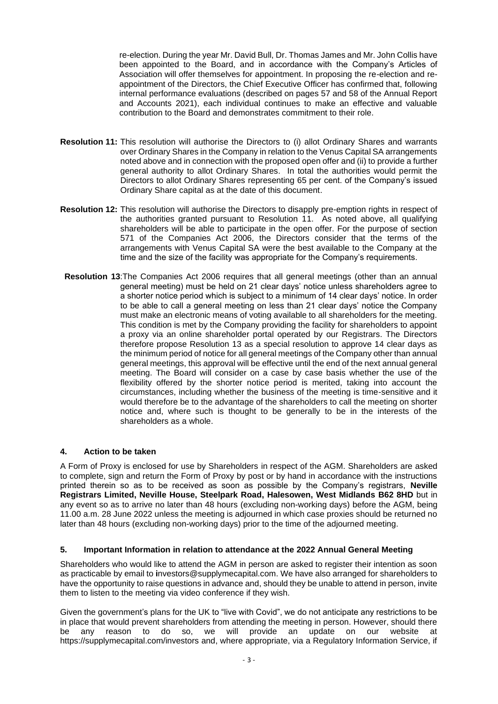re-election. During the year Mr. David Bull, Dr. Thomas James and Mr. John Collis have been appointed to the Board, and in accordance with the Company's Articles of Association will offer themselves for appointment. In proposing the re-election and reappointment of the Directors, the Chief Executive Officer has confirmed that, following internal performance evaluations (described on pages 57 and 58 of the Annual Report and Accounts 2021), each individual continues to make an effective and valuable contribution to the Board and demonstrates commitment to their role.

- **Resolution 11:** This resolution will authorise the Directors to (i) allot Ordinary Shares and warrants over Ordinary Shares in the Company in relation to the Venus Capital SA arrangements noted above and in connection with the proposed open offer and (ii) to provide a further general authority to allot Ordinary Shares. In total the authorities would permit the Directors to allot Ordinary Shares representing 65 per cent. of the Company's issued Ordinary Share capital as at the date of this document.
- **Resolution 12:** This resolution will authorise the Directors to disapply pre-emption rights in respect of the authorities granted pursuant to Resolution 11. As noted above, all qualifying shareholders will be able to participate in the open offer. For the purpose of section 571 of the Companies Act 2006, the Directors consider that the terms of the arrangements with Venus Capital SA were the best available to the Company at the time and the size of the facility was appropriate for the Company's requirements.
- **Resolution 13**:The Companies Act 2006 requires that all general meetings (other than an annual general meeting) must be held on 21 clear days' notice unless shareholders agree to a shorter notice period which is subject to a minimum of 14 clear days' notice. In order to be able to call a general meeting on less than 21 clear days' notice the Company must make an electronic means of voting available to all shareholders for the meeting. This condition is met by the Company providing the facility for shareholders to appoint a proxy via an online shareholder portal operated by our Registrars. The Directors therefore propose Resolution 13 as a special resolution to approve 14 clear days as the minimum period of notice for all general meetings of the Company other than annual general meetings, this approval will be effective until the end of the next annual general meeting. The Board will consider on a case by case basis whether the use of the flexibility offered by the shorter notice period is merited, taking into account the circumstances, including whether the business of the meeting is time-sensitive and it would therefore be to the advantage of the shareholders to call the meeting on shorter notice and, where such is thought to be generally to be in the interests of the shareholders as a whole.

# **4. Action to be taken**

A Form of Proxy is enclosed for use by Shareholders in respect of the AGM. Shareholders are asked to complete, sign and return the Form of Proxy by post or by hand in accordance with the instructions printed therein so as to be received as soon as possible by the Company's registrars, **Neville Registrars Limited, Neville House, Steelpark Road, Halesowen, West Midlands B62 8HD** but in any event so as to arrive no later than 48 hours (excluding non-working days) before the AGM, being 11.00 a.m. 28 June 2022 unless the meeting is adjourned in which case proxies should be returned no later than 48 hours (excluding non-working days) prior to the time of the adjourned meeting.

# **5. Important Information in relation to attendance at the 2022 Annual General Meeting**

Shareholders who would like to attend the AGM in person are asked to register their intention as soon as practicable by email to **i**nvestors@supplymecapital.com. We have also arranged for shareholders to have the opportunity to raise questions in advance and, should they be unable to attend in person, invite them to listen to the meeting via video conference if they wish.

Given the government's plans for the UK to "live with Covid", we do not anticipate any restrictions to be in place that would prevent shareholders from attending the meeting in person. However, should there be any reason to do so, we will provide an update on our website at https://supplymecapital.com/investors and, where appropriate, via a Regulatory Information Service, if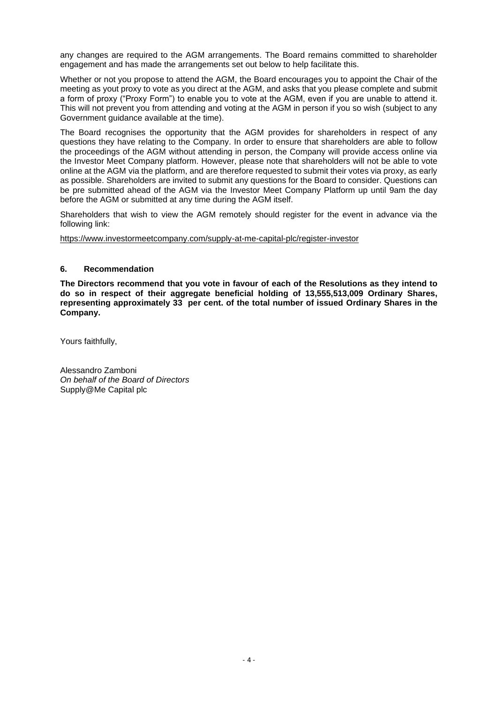any changes are required to the AGM arrangements. The Board remains committed to shareholder engagement and has made the arrangements set out below to help facilitate this.

Whether or not you propose to attend the AGM, the Board encourages you to appoint the Chair of the meeting as yout proxy to vote as you direct at the AGM, and asks that you please complete and submit a form of proxy ("Proxy Form") to enable you to vote at the AGM, even if you are unable to attend it. This will not prevent you from attending and voting at the AGM in person if you so wish (subject to any Government guidance available at the time).

The Board recognises the opportunity that the AGM provides for shareholders in respect of any questions they have relating to the Company. In order to ensure that shareholders are able to follow the proceedings of the AGM without attending in person, the Company will provide access online via the Investor Meet Company platform. However, please note that shareholders will not be able to vote online at the AGM via the platform, and are therefore requested to submit their votes via proxy, as early as possible. Shareholders are invited to submit any questions for the Board to consider. Questions can be pre submitted ahead of the AGM via the Investor Meet Company Platform up until 9am the day before the AGM or submitted at any time during the AGM itself.

Shareholders that wish to view the AGM remotely should register for the event in advance via the following link:

<https://www.investormeetcompany.com/supply-at-me-capital-plc/register-investor>

## **6. Recommendation**

**The Directors recommend that you vote in favour of each of the Resolutions as they intend to do so in respect of their aggregate beneficial holding of 13,555,513,009 Ordinary Shares, representing approximately 33 per cent. of the total number of issued Ordinary Shares in the Company.** 

Yours faithfully,

Alessandro Zamboni *On behalf of the Board of Directors* Supply@Me Capital plc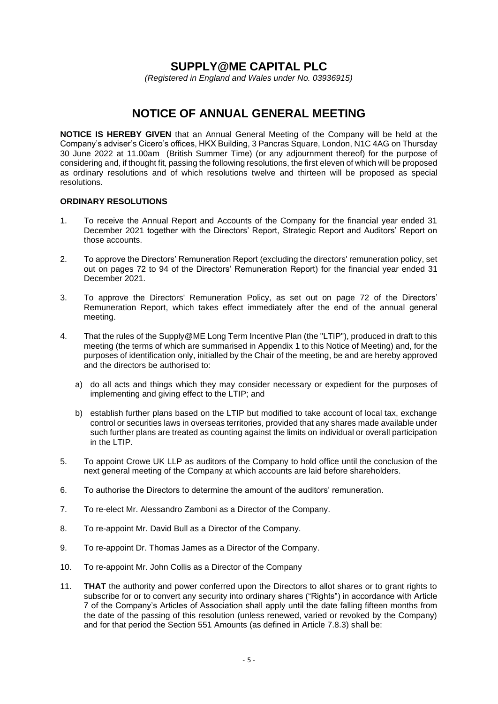# **SUPPLY@ME CAPITAL PLC**

*(Registered in England and Wales under No. 03936915)*

# **NOTICE OF ANNUAL GENERAL MEETING**

**NOTICE IS HEREBY GIVEN** that an Annual General Meeting of the Company will be held at the Company's adviser's Cicero's offices, HKX Building, 3 Pancras Square, London, N1C 4AG on Thursday 30 June 2022 at 11.00am (British Summer Time) (or any adjournment thereof) for the purpose of considering and, if thought fit, passing the following resolutions, the first eleven of which will be proposed as ordinary resolutions and of which resolutions twelve and thirteen will be proposed as special resolutions.

# **ORDINARY RESOLUTIONS**

- 1. To receive the Annual Report and Accounts of the Company for the financial year ended 31 December 2021 together with the Directors' Report, Strategic Report and Auditors' Report on those accounts.
- 2. To approve the Directors' Remuneration Report (excluding the directors' remuneration policy, set out on pages 72 to 94 of the Directors' Remuneration Report) for the financial year ended 31 December 2021.
- 3. To approve the Directors' Remuneration Policy, as set out on page 72 of the Directors' Remuneration Report, which takes effect immediately after the end of the annual general meeting.
- 4. That the rules of the Supply@ME Long Term Incentive Plan (the "LTIP"), produced in draft to this meeting (the terms of which are summarised in Appendix 1 to this Notice of Meeting) and, for the purposes of identification only, initialled by the Chair of the meeting, be and are hereby approved and the directors be authorised to:
	- a) do all acts and things which they may consider necessary or expedient for the purposes of implementing and giving effect to the LTIP; and
	- b) establish further plans based on the LTIP but modified to take account of local tax, exchange control or securities laws in overseas territories, provided that any shares made available under such further plans are treated as counting against the limits on individual or overall participation in the LTIP.
- 5. To appoint Crowe UK LLP as auditors of the Company to hold office until the conclusion of the next general meeting of the Company at which accounts are laid before shareholders.
- 6. To authorise the Directors to determine the amount of the auditors' remuneration.
- 7. To re-elect Mr. Alessandro Zamboni as a Director of the Company.
- 8. To re-appoint Mr. David Bull as a Director of the Company.
- 9. To re-appoint Dr. Thomas James as a Director of the Company.
- 10. To re-appoint Mr. John Collis as a Director of the Company
- 11. **THAT** the authority and power conferred upon the Directors to allot shares or to grant rights to subscribe for or to convert any security into ordinary shares ("Rights") in accordance with Article 7 of the Company's Articles of Association shall apply until the date falling fifteen months from the date of the passing of this resolution (unless renewed, varied or revoked by the Company) and for that period the Section 551 Amounts (as defined in Article 7.8.3) shall be: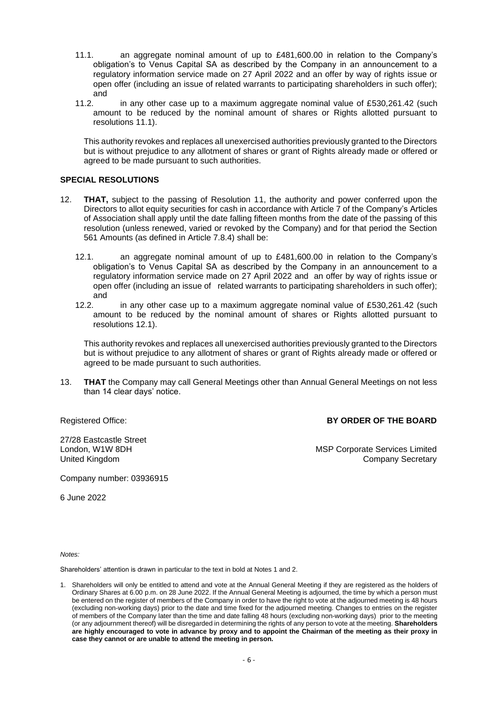- 11.1. an aggregate nominal amount of up to £481,600.00 in relation to the Company's obligation's to Venus Capital SA as described by the Company in an announcement to a regulatory information service made on 27 April 2022 and an offer by way of rights issue or open offer (including an issue of related warrants to participating shareholders in such offer); and
- 11.2. in any other case up to a maximum aggregate nominal value of £530,261.42 (such amount to be reduced by the nominal amount of shares or Rights allotted pursuant to resolutions 11.1).

This authority revokes and replaces all unexercised authorities previously granted to the Directors but is without prejudice to any allotment of shares or grant of Rights already made or offered or agreed to be made pursuant to such authorities.

# **SPECIAL RESOLUTIONS**

- 12. **THAT,** subject to the passing of Resolution 11, the authority and power conferred upon the Directors to allot equity securities for cash in accordance with Article 7 of the Company's Articles of Association shall apply until the date falling fifteen months from the date of the passing of this resolution (unless renewed, varied or revoked by the Company) and for that period the Section 561 Amounts (as defined in Article 7.8.4) shall be:
	- 12.1. an aggregate nominal amount of up to £481,600.00 in relation to the Company's obligation's to Venus Capital SA as described by the Company in an announcement to a regulatory information service made on 27 April 2022 and an offer by way of rights issue or open offer (including an issue of related warrants to participating shareholders in such offer); and
	- 12.2. in any other case up to a maximum aggregate nominal value of £530,261.42 (such amount to be reduced by the nominal amount of shares or Rights allotted pursuant to resolutions 12.1).

This authority revokes and replaces all unexercised authorities previously granted to the Directors but is without prejudice to any allotment of shares or grant of Rights already made or offered or agreed to be made pursuant to such authorities.

13. **THAT** the Company may call General Meetings other than Annual General Meetings on not less than 14 clear days' notice.

Registered Office: **BY ORDER OF THE BOARD**

27/28 Eastcastle Street<br>London, W1W 8DH

MSP Corporate Services Limited United Kingdom Company Secretary

Company number: 03936915

6 June 2022

*Notes:*

Shareholders' attention is drawn in particular to the text in bold at Notes 1 and 2.

<sup>1.</sup> Shareholders will only be entitled to attend and vote at the Annual General Meeting if they are registered as the holders of Ordinary Shares at 6.00 p.m. on 28 June 2022. If the Annual General Meeting is adjourned, the time by which a person must be entered on the register of members of the Company in order to have the right to vote at the adjourned meeting is 48 hours (excluding non-working days) prior to the date and time fixed for the adjourned meeting. Changes to entries on the register of members of the Company later than the time and date falling 48 hours (excluding non-working days) prior to the meeting (or any adjournment thereof) will be disregarded in determining the rights of any person to vote at the meeting. **Shareholders are highly encouraged to vote in advance by proxy and to appoint the Chairman of the meeting as their proxy in case they cannot or are unable to attend the meeting in person.**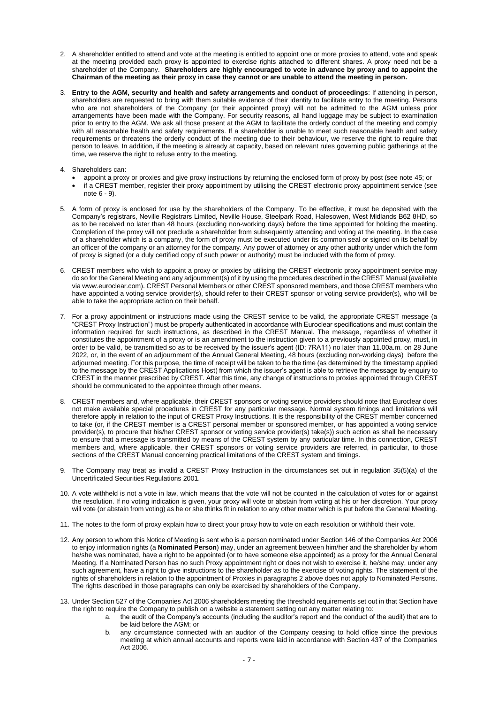- 2. A shareholder entitled to attend and vote at the meeting is entitled to appoint one or more proxies to attend, vote and speak at the meeting provided each proxy is appointed to exercise rights attached to different shares. A proxy need not be a shareholder of the Company. **Shareholders are highly encouraged to vote in advance by proxy and to appoint the Chairman of the meeting as their proxy in case they cannot or are unable to attend the meeting in person.**
- 3. **Entry to the AGM, security and health and safety arrangements and conduct of proceedings**: If attending in person, shareholders are requested to bring with them suitable evidence of their identity to facilitate entry to the meeting. Persons who are not shareholders of the Company (or their appointed proxy) will not be admitted to the AGM unless prior arrangements have been made with the Company. For security reasons, all hand luggage may be subject to examination prior to entry to the AGM. We ask all those present at the AGM to facilitate the orderly conduct of the meeting and comply with all reasonable health and safety requirements. If a shareholder is unable to meet such reasonable health and safety requirements or threatens the orderly conduct of the meeting due to their behaviour, we reserve the right to require that person to leave. In addition, if the meeting is already at capacity, based on relevant rules governing public gatherings at the time, we reserve the right to refuse entry to the meeting.
- 4. Shareholders can:
	- appoint a proxy or proxies and give proxy instructions by returning the enclosed form of proxy by post (see note 45; or
	- if a CREST member, register their proxy appointment by utilising the CREST electronic proxy appointment service (see note 6 - 9).
- 5. A form of proxy is enclosed for use by the shareholders of the Company. To be effective, it must be deposited with the Company's registrars, Neville Registrars Limited, Neville House, Steelpark Road, Halesowen, West Midlands B62 8HD, so as to be received no later than 48 hours (excluding non-working days) before the time appointed for holding the meeting. Completion of the proxy will not preclude a shareholder from subsequently attending and voting at the meeting. In the case of a shareholder which is a company, the form of proxy must be executed under its common seal or signed on its behalf by an officer of the company or an attorney for the company. Any power of attorney or any other authority under which the form of proxy is signed (or a duly certified copy of such power or authority) must be included with the form of proxy.
- 6. CREST members who wish to appoint a proxy or proxies by utilising the CREST electronic proxy appointment service may do so for the General Meeting and any adjournment(s) of it by using the procedures described in the CREST Manual (available via www.euroclear.com). CREST Personal Members or other CREST sponsored members, and those CREST members who have appointed a voting service provider(s), should refer to their CREST sponsor or voting service provider(s), who will be able to take the appropriate action on their behalf.
- 7. For a proxy appointment or instructions made using the CREST service to be valid, the appropriate CREST message (a "CREST Proxy Instruction") must be properly authenticated in accordance with Euroclear specifications and must contain the information required for such instructions, as described in the CREST Manual. The message, regardless of whether it constitutes the appointment of a proxy or is an amendment to the instruction given to a previously appointed proxy, must, in order to be valid, be transmitted so as to be received by the issuer's agent (ID: 7RA11) no later than 11.00a.m. on 28 June 2022, or, in the event of an adjournment of the Annual General Meeting, 48 hours (excluding non-working days) before the adjourned meeting. For this purpose, the time of receipt will be taken to be the time (as determined by the timestamp applied to the message by the CREST Applications Host) from which the issuer's agent is able to retrieve the message by enquiry to CREST in the manner prescribed by CREST. After this time, any change of instructions to proxies appointed through CREST should be communicated to the appointee through other means.
- 8. CREST members and, where applicable, their CREST sponsors or voting service providers should note that Euroclear does not make available special procedures in CREST for any particular message. Normal system timings and limitations will therefore apply in relation to the input of CREST Proxy Instructions. It is the responsibility of the CREST member concerned to take (or, if the CREST member is a CREST personal member or sponsored member, or has appointed a voting service provider(s), to procure that his/her CREST sponsor or voting service provider(s) take(s)) such action as shall be necessary to ensure that a message is transmitted by means of the CREST system by any particular time. In this connection, CREST members and, where applicable, their CREST sponsors or voting service providers are referred, in particular, to those sections of the CREST Manual concerning practical limitations of the CREST system and timings.
- 9. The Company may treat as invalid a CREST Proxy Instruction in the circumstances set out in regulation 35(5)(a) of the Uncertificated Securities Regulations 2001.
- 10. A vote withheld is not a vote in law, which means that the vote will not be counted in the calculation of votes for or against the resolution. If no voting indication is given, your proxy will vote or abstain from voting at his or her discretion. Your proxy will vote (or abstain from voting) as he or she thinks fit in relation to any other matter which is put before the General Meeting.
- 11. The notes to the form of proxy explain how to direct your proxy how to vote on each resolution or withhold their vote.
- 12. Any person to whom this Notice of Meeting is sent who is a person nominated under Section 146 of the Companies Act 2006 to enjoy information rights (a **Nominated Person**) may, under an agreement between him/her and the shareholder by whom he/she was nominated, have a right to be appointed (or to have someone else appointed) as a proxy for the Annual General Meeting. If a Nominated Person has no such Proxy appointment right or does not wish to exercise it, he/she may, under any such agreement, have a right to give instructions to the shareholder as to the exercise of voting rights. The statement of the rights of shareholders in relation to the appointment of Proxies in paragraphs 2 above does not apply to Nominated Persons. The rights described in those paragraphs can only be exercised by shareholders of the Company.
- 13. Under Section 527 of the Companies Act 2006 shareholders meeting the threshold requirements set out in that Section have the right to require the Company to publish on a website a statement setting out any matter relating to:
	- a. the audit of the Company's accounts (including the auditor's report and the conduct of the audit) that are to be laid before the AGM; or
	- b. any circumstance connected with an auditor of the Company ceasing to hold office since the previous meeting at which annual accounts and reports were laid in accordance with Section 437 of the Companies Act 2006.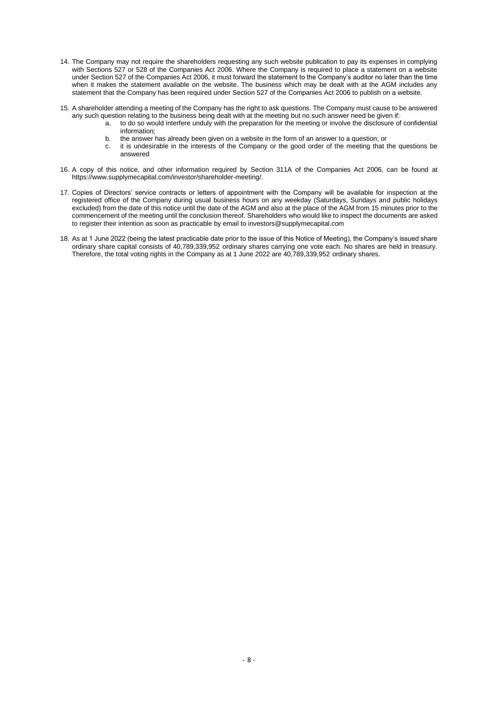- 14. The Company may not require the shareholders requesting any such website publication to pay its expenses in complying with Sections 527 or 528 of the Companies Act 2006. Where the Company is required to place a statement on a website under Section 527 of the Companies Act 2006, it must forward the statement to the Company's auditor no later than the time when it makes the statement available on the website. The business which may be dealt with at the AGM includes any statement that the Company has been required under Section 527 of the Companies Act 2006 to publish on a website.
- 15. A shareholder attending a meeting of the Company has the right to ask questions. The Company must cause to be answered any such question relating to the business being dealt with at the meeting but no such answer need be given if:
	- a. to do so would interfere unduly with the preparation for the meeting or involve the disclosure of confidential information;
	- b. the answer has already been given on a website in the form of an answer to a question; or
	- c. it is undesirable in the interests of the Company or the good order of the meeting that the questions be answered
- 16. A copy of this notice, and other information required by Section 311A of the Companies Act 2006, can be found at https://www.supplymecapital.com/investor/shareholder-meeting/.
- 17. Copies of Directors' service contracts or letters of appointment with the Company will be available for inspection at the registered office of the Company during usual business hours on any weekday (Saturdays, Sundays and public holidays excluded) from the date of this notice until the date of the AGM and also at the place of the AGM from 15 minutes prior to the commencement of the meeting until the conclusion thereof. Shareholders who would like to inspect the documents are asked to register their intention as soon as practicable by email to investors@supplymecapital.com
- 18. As at 1 June 2022 (being the latest practicable date prior to the issue of this Notice of Meeting), the Company's issued share ordinary share capital consists of 40,789,339,952 ordinary shares carrying one vote each. No shares are held in treasury. Therefore, the total voting rights in the Company as at 1 June 2022 are 40,789,339,952 ordinary shares.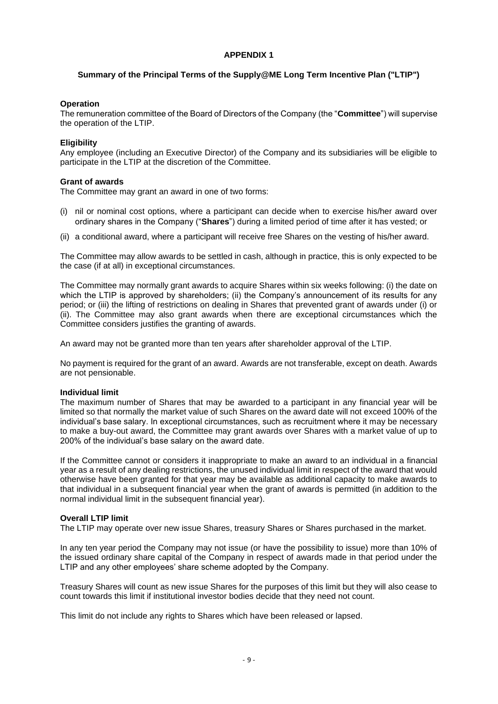# **APPENDIX 1**

# **Summary of the Principal Terms of the Supply@ME Long Term Incentive Plan ("LTIP")**

# **Operation**

The remuneration committee of the Board of Directors of the Company (the "**Committee**") will supervise the operation of the LTIP.

# **Eligibility**

Any employee (including an Executive Director) of the Company and its subsidiaries will be eligible to participate in the LTIP at the discretion of the Committee.

# **Grant of awards**

The Committee may grant an award in one of two forms:

- (i) nil or nominal cost options, where a participant can decide when to exercise his/her award over ordinary shares in the Company ("**Shares**") during a limited period of time after it has vested; or
- (ii) a conditional award, where a participant will receive free Shares on the vesting of his/her award.

The Committee may allow awards to be settled in cash, although in practice, this is only expected to be the case (if at all) in exceptional circumstances.

The Committee may normally grant awards to acquire Shares within six weeks following: (i) the date on which the LTIP is approved by shareholders; (ii) the Company's announcement of its results for any period; or (iii) the lifting of restrictions on dealing in Shares that prevented grant of awards under (i) or (ii). The Committee may also grant awards when there are exceptional circumstances which the Committee considers justifies the granting of awards.

An award may not be granted more than ten years after shareholder approval of the LTIP.

No payment is required for the grant of an award. Awards are not transferable, except on death. Awards are not pensionable.

#### **Individual limit**

The maximum number of Shares that may be awarded to a participant in any financial year will be limited so that normally the market value of such Shares on the award date will not exceed 100% of the individual's base salary. In exceptional circumstances, such as recruitment where it may be necessary to make a buy-out award, the Committee may grant awards over Shares with a market value of up to 200% of the individual's base salary on the award date.

If the Committee cannot or considers it inappropriate to make an award to an individual in a financial year as a result of any dealing restrictions, the unused individual limit in respect of the award that would otherwise have been granted for that year may be available as additional capacity to make awards to that individual in a subsequent financial year when the grant of awards is permitted (in addition to the normal individual limit in the subsequent financial year).

#### **Overall LTIP limit**

The LTIP may operate over new issue Shares, treasury Shares or Shares purchased in the market.

In any ten year period the Company may not issue (or have the possibility to issue) more than 10% of the issued ordinary share capital of the Company in respect of awards made in that period under the LTIP and any other employees' share scheme adopted by the Company.

Treasury Shares will count as new issue Shares for the purposes of this limit but they will also cease to count towards this limit if institutional investor bodies decide that they need not count.

This limit do not include any rights to Shares which have been released or lapsed.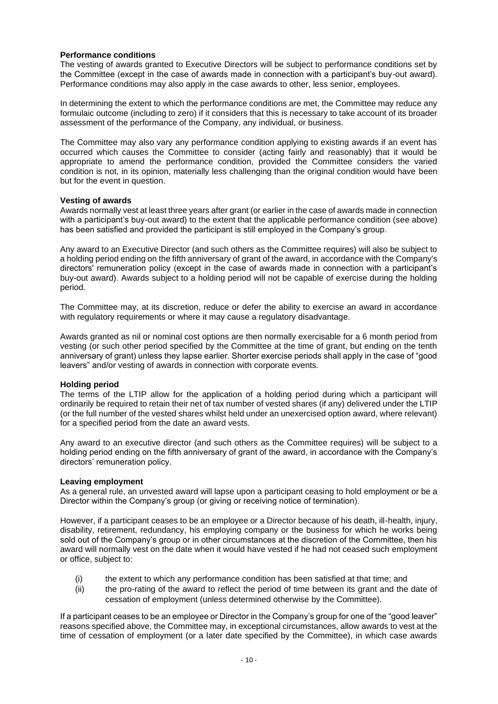# **Performance conditions**

The vesting of awards granted to Executive Directors will be subject to performance conditions set by the Committee (except in the case of awards made in connection with a participant's buy-out award). Performance conditions may also apply in the case awards to other, less senior, employees.

In determining the extent to which the performance conditions are met, the Committee may reduce any formulaic outcome (including to zero) if it considers that this is necessary to take account of its broader assessment of the performance of the Company, any individual, or business.

The Committee may also vary any performance condition applying to existing awards if an event has occurred which causes the Committee to consider (acting fairly and reasonably) that it would be appropriate to amend the performance condition, provided the Committee considers the varied condition is not, in its opinion, materially less challenging than the original condition would have been but for the event in question.

#### **Vesting of awards**

Awards normally vest at least three years after grant (or earlier in the case of awards made in connection with a participant's buy-out award) to the extent that the applicable performance condition (see above) has been satisfied and provided the participant is still employed in the Company's group.

Any award to an Executive Director (and such others as the Committee requires) will also be subject to a holding period ending on the fifth anniversary of grant of the award, in accordance with the Company's directors' remuneration policy (except in the case of awards made in connection with a participant's buy-out award). Awards subject to a holding period will not be capable of exercise during the holding period.

The Committee may, at its discretion, reduce or defer the ability to exercise an award in accordance with regulatory requirements or where it may cause a regulatory disadvantage.

Awards granted as nil or nominal cost options are then normally exercisable for a 6 month period from vesting (or such other period specified by the Committee at the time of grant, but ending on the tenth anniversary of grant) unless they lapse earlier. Shorter exercise periods shall apply in the case of "good leavers" and/or vesting of awards in connection with corporate events.

# **Holding period**

The terms of the LTIP allow for the application of a holding period during which a participant will ordinarily be required to retain their net of tax number of vested shares (if any) delivered under the LTIP (or the full number of the vested shares whilst held under an unexercised option award, where relevant) for a specified period from the date an award vests.

Any award to an executive director (and such others as the Committee requires) will be subject to a holding period ending on the fifth anniversary of grant of the award, in accordance with the Company's directors' remuneration policy.

#### **Leaving employment**

As a general rule, an unvested award will lapse upon a participant ceasing to hold employment or be a Director within the Company's group (or giving or receiving notice of termination).

However, if a participant ceases to be an employee or a Director because of his death, ill-health, injury, disability, retirement, redundancy, his employing company or the business for which he works being sold out of the Company's group or in other circumstances at the discretion of the Committee, then his award will normally vest on the date when it would have vested if he had not ceased such employment or office, subject to:

- (i) the extent to which any performance condition has been satisfied at that time; and
- (ii) the pro-rating of the award to reflect the period of time between its grant and the date of cessation of employment (unless determined otherwise by the Committee).

If a participant ceases to be an employee or Director in the Company's group for one of the "good leaver" reasons specified above, the Committee may, in exceptional circumstances, allow awards to vest at the time of cessation of employment (or a later date specified by the Committee), in which case awards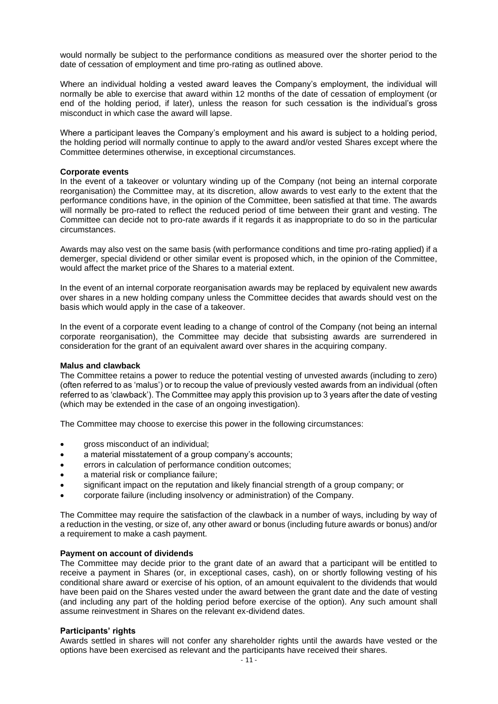would normally be subject to the performance conditions as measured over the shorter period to the date of cessation of employment and time pro-rating as outlined above.

Where an individual holding a vested award leaves the Company's employment, the individual will normally be able to exercise that award within 12 months of the date of cessation of employment (or end of the holding period, if later), unless the reason for such cessation is the individual's gross misconduct in which case the award will lapse.

Where a participant leaves the Company's employment and his award is subject to a holding period, the holding period will normally continue to apply to the award and/or vested Shares except where the Committee determines otherwise, in exceptional circumstances.

#### **Corporate events**

In the event of a takeover or voluntary winding up of the Company (not being an internal corporate reorganisation) the Committee may, at its discretion, allow awards to vest early to the extent that the performance conditions have, in the opinion of the Committee, been satisfied at that time. The awards will normally be pro-rated to reflect the reduced period of time between their grant and vesting. The Committee can decide not to pro-rate awards if it regards it as inappropriate to do so in the particular circumstances.

Awards may also vest on the same basis (with performance conditions and time pro-rating applied) if a demerger, special dividend or other similar event is proposed which, in the opinion of the Committee, would affect the market price of the Shares to a material extent.

In the event of an internal corporate reorganisation awards may be replaced by equivalent new awards over shares in a new holding company unless the Committee decides that awards should vest on the basis which would apply in the case of a takeover.

In the event of a corporate event leading to a change of control of the Company (not being an internal corporate reorganisation), the Committee may decide that subsisting awards are surrendered in consideration for the grant of an equivalent award over shares in the acquiring company.

#### **Malus and clawback**

The Committee retains a power to reduce the potential vesting of unvested awards (including to zero) (often referred to as 'malus') or to recoup the value of previously vested awards from an individual (often referred to as 'clawback'). The Committee may apply this provision up to 3 years after the date of vesting (which may be extended in the case of an ongoing investigation).

The Committee may choose to exercise this power in the following circumstances:

- gross misconduct of an individual;
- a material misstatement of a group company's accounts;
- errors in calculation of performance condition outcomes:
- a material risk or compliance failure;
- significant impact on the reputation and likely financial strength of a group company; or
- corporate failure (including insolvency or administration) of the Company.

The Committee may require the satisfaction of the clawback in a number of ways, including by way of a reduction in the vesting, or size of, any other award or bonus (including future awards or bonus) and/or a requirement to make a cash payment.

#### **Payment on account of dividends**

The Committee may decide prior to the grant date of an award that a participant will be entitled to receive a payment in Shares (or, in exceptional cases, cash), on or shortly following vesting of his conditional share award or exercise of his option, of an amount equivalent to the dividends that would have been paid on the Shares vested under the award between the grant date and the date of vesting (and including any part of the holding period before exercise of the option). Any such amount shall assume reinvestment in Shares on the relevant ex-dividend dates.

#### **Participants' rights**

Awards settled in shares will not confer any shareholder rights until the awards have vested or the options have been exercised as relevant and the participants have received their shares.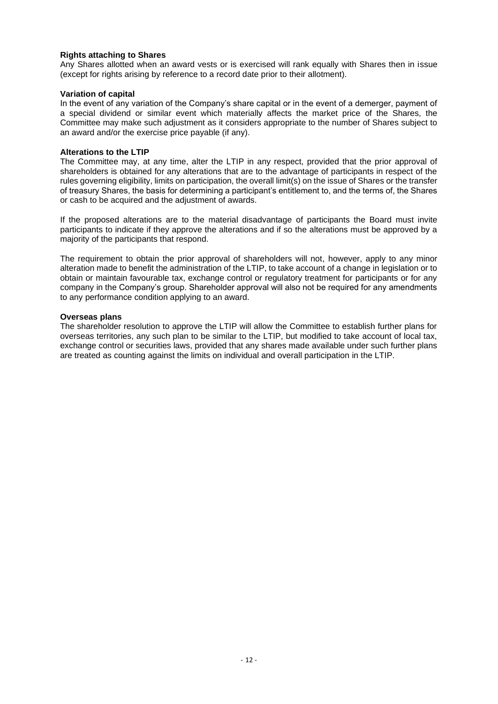# **Rights attaching to Shares**

Any Shares allotted when an award vests or is exercised will rank equally with Shares then in issue (except for rights arising by reference to a record date prior to their allotment).

#### **Variation of capital**

In the event of any variation of the Company's share capital or in the event of a demerger, payment of a special dividend or similar event which materially affects the market price of the Shares, the Committee may make such adjustment as it considers appropriate to the number of Shares subject to an award and/or the exercise price payable (if any).

#### **Alterations to the LTIP**

The Committee may, at any time, alter the LTIP in any respect, provided that the prior approval of shareholders is obtained for any alterations that are to the advantage of participants in respect of the rules governing eligibility, limits on participation, the overall limit(s) on the issue of Shares or the transfer of treasury Shares, the basis for determining a participant's entitlement to, and the terms of, the Shares or cash to be acquired and the adjustment of awards.

If the proposed alterations are to the material disadvantage of participants the Board must invite participants to indicate if they approve the alterations and if so the alterations must be approved by a majority of the participants that respond.

The requirement to obtain the prior approval of shareholders will not, however, apply to any minor alteration made to benefit the administration of the LTIP, to take account of a change in legislation or to obtain or maintain favourable tax, exchange control or regulatory treatment for participants or for any company in the Company's group. Shareholder approval will also not be required for any amendments to any performance condition applying to an award.

#### **Overseas plans**

The shareholder resolution to approve the LTIP will allow the Committee to establish further plans for overseas territories, any such plan to be similar to the LTIP, but modified to take account of local tax, exchange control or securities laws, provided that any shares made available under such further plans are treated as counting against the limits on individual and overall participation in the LTIP.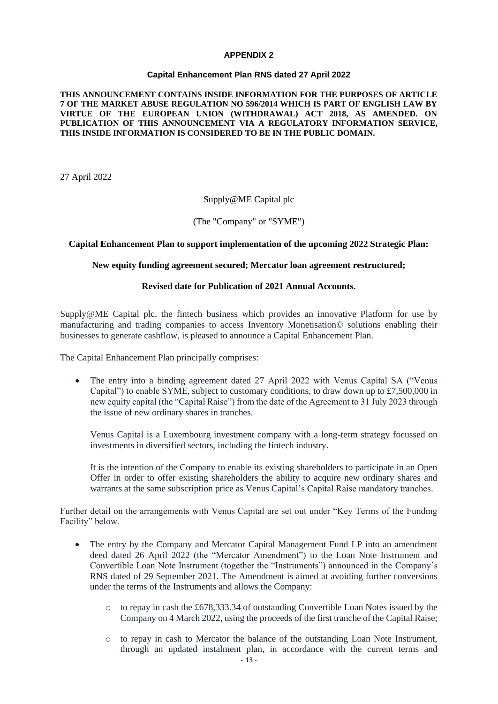# **APPENDIX 2**

# **Capital Enhancement Plan RNS dated 27 April 2022**

#### **THIS ANNOUNCEMENT CONTAINS INSIDE INFORMATION FOR THE PURPOSES OF ARTICLE 7 OF THE MARKET ABUSE REGULATION NO 596/2014 WHICH IS PART OF ENGLISH LAW BY VIRTUE OF THE EUROPEAN UNION (WITHDRAWAL) ACT 2018, AS AMENDED. ON PUBLICATION OF THIS ANNOUNCEMENT VIA A REGULATORY INFORMATION SERVICE, THIS INSIDE INFORMATION IS CONSIDERED TO BE IN THE PUBLIC DOMAIN.**

27 April 2022

# Supply@ME Capital plc

# (The "Company" or "SYME")

# **Capital Enhancement Plan to support implementation of the upcoming 2022 Strategic Plan:**

#### **New equity funding agreement secured; Mercator loan agreement restructured;**

# **Revised date for Publication of 2021 Annual Accounts.**

Supply@ME Capital plc, the fintech business which provides an innovative Platform for use by manufacturing and trading companies to access Inventory Monetisation© solutions enabling their businesses to generate cashflow, is pleased to announce a Capital Enhancement Plan.

The Capital Enhancement Plan principally comprises:

• The entry into a binding agreement dated 27 April 2022 with Venus Capital SA ("Venus Capital") to enable SYME, subject to customary conditions, to draw down up to £7,500,000 in new equity capital (the "Capital Raise") from the date of the Agreement to 31 July 2023 through the issue of new ordinary shares in tranches.

Venus Capital is a Luxembourg investment company with a long-term strategy focussed on investments in diversified sectors, including the fintech industry.

It is the intention of the Company to enable its existing shareholders to participate in an Open Offer in order to offer existing shareholders the ability to acquire new ordinary shares and warrants at the same subscription price as Venus Capital's Capital Raise mandatory tranches.

Further detail on the arrangements with Venus Capital are set out under "Key Terms of the Funding Facility" below.

- The entry by the Company and Mercator Capital Management Fund LP into an amendment deed dated 26 April 2022 (the "Mercator Amendment") to the Loan Note Instrument and Convertible Loan Note Instrument (together the "Instruments") announced in the Company's RNS dated of 29 September 2021. The Amendment is aimed at avoiding further conversions under the terms of the Instruments and allows the Company:
	- o to repay in cash the £678,333.34 of outstanding Convertible Loan Notes issued by the Company on 4 March 2022, using the proceeds of the first tranche of the Capital Raise;
	- o to repay in cash to Mercator the balance of the outstanding Loan Note Instrument, through an updated instalment plan, in accordance with the current terms and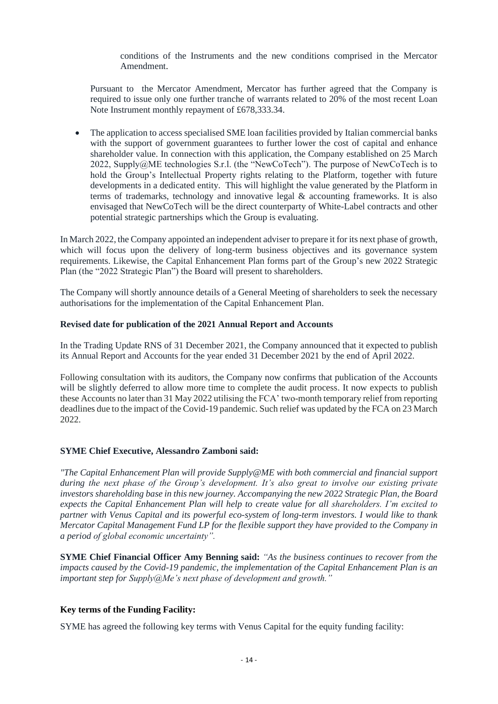conditions of the Instruments and the new conditions comprised in the Mercator Amendment.

Pursuant to the Mercator Amendment, Mercator has further agreed that the Company is required to issue only one further tranche of warrants related to 20% of the most recent Loan Note Instrument monthly repayment of £678,333.34.

• The application to access specialised SME loan facilities provided by Italian commercial banks with the support of government guarantees to further lower the cost of capital and enhance shareholder value. In connection with this application, the Company established on 25 March 2022, Supply@ME technologies S.r.l. (the "NewCoTech"). The purpose of NewCoTech is to hold the Group's Intellectual Property rights relating to the Platform, together with future developments in a dedicated entity. This will highlight the value generated by the Platform in terms of trademarks, technology and innovative legal & accounting frameworks. It is also envisaged that NewCoTech will be the direct counterparty of White-Label contracts and other potential strategic partnerships which the Group is evaluating.

In March 2022, the Company appointed an independent adviser to prepare it for its next phase of growth, which will focus upon the delivery of long-term business objectives and its governance system requirements. Likewise, the Capital Enhancement Plan forms part of the Group's new 2022 Strategic Plan (the "2022 Strategic Plan") the Board will present to shareholders.

The Company will shortly announce details of a General Meeting of shareholders to seek the necessary authorisations for the implementation of the Capital Enhancement Plan.

# **Revised date for publication of the 2021 Annual Report and Accounts**

In the Trading Update RNS of 31 December 2021, the Company announced that it expected to publish its Annual Report and Accounts for the year ended 31 December 2021 by the end of April 2022.

Following consultation with its auditors, the Company now confirms that publication of the Accounts will be slightly deferred to allow more time to complete the audit process. It now expects to publish these Accounts no later than 31 May 2022 utilising the FCA' two-month temporary relief from reporting deadlines due to the impact of the Covid-19 pandemic. Such relief was updated by the FCA on 23 March 2022.

# **SYME Chief Executive, Alessandro Zamboni said:**

*"The Capital Enhancement Plan will provide Supply@ME with both commercial and financial support during the next phase of the Group's development. It's also great to involve our existing private investors shareholding base in this new journey. Accompanying the new 2022 Strategic Plan, the Board expects the Capital Enhancement Plan will help to create value for all shareholders. I'm excited to partner with Venus Capital and its powerful eco-system of long-term investors. I would like to thank Mercator Capital Management Fund LP for the flexible support they have provided to the Company in a period of global economic uncertainty".*

**SYME Chief Financial Officer Amy Benning said:** *"As the business continues to recover from the impacts caused by the Covid-19 pandemic, the implementation of the Capital Enhancement Plan is an important step for Supply@Me's next phase of development and growth."*

# **Key terms of the Funding Facility:**

SYME has agreed the following key terms with Venus Capital for the equity funding facility: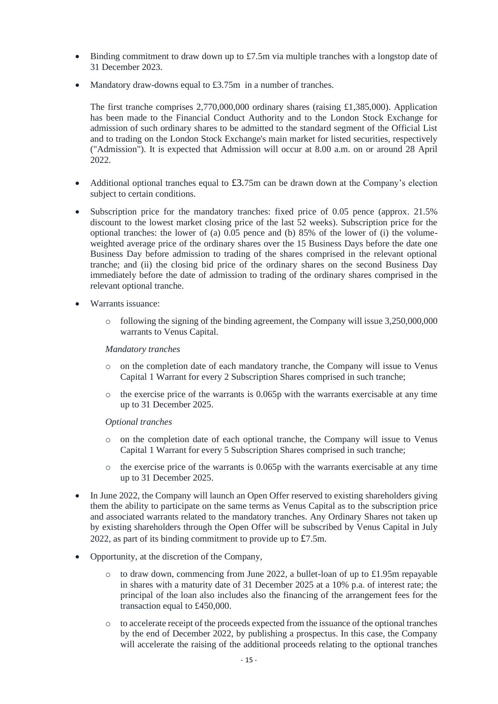- Binding commitment to draw down up to £7.5m via multiple tranches with a longstop date of 31 December 2023.
- Mandatory draw-downs equal to £3.75m in a number of tranches.

The first tranche comprises 2,770,000,000 ordinary shares (raising £1,385,000). Application has been made to the Financial Conduct Authority and to the London Stock Exchange for admission of such ordinary shares to be admitted to the standard segment of the Official List and to trading on the London Stock Exchange's main market for listed securities, respectively ("Admission"). It is expected that Admission will occur at 8.00 a.m. on or around 28 April 2022.

- Additional optional tranches equal to  $\text{\pounds}3.75$  m can be drawn down at the Company's election subject to certain conditions.
- Subscription price for the mandatory tranches: fixed price of 0.05 pence (approx. 21.5%) discount to the lowest market closing price of the last 52 weeks). Subscription price for the optional tranches: the lower of (a) 0.05 pence and (b) 85% of the lower of (i) the volumeweighted average price of the ordinary shares over the 15 Business Days before the date one Business Day before admission to trading of the shares comprised in the relevant optional tranche; and (ii) the closing bid price of the ordinary shares on the second Business Day immediately before the date of admission to trading of the ordinary shares comprised in the relevant optional tranche.
- Warrants issuance:
	- o following the signing of the binding agreement, the Company will issue 3,250,000,000 warrants to Venus Capital.

# *Mandatory tranches*

- o on the completion date of each mandatory tranche, the Company will issue to Venus Capital 1 Warrant for every 2 Subscription Shares comprised in such tranche;
- $\circ$  the exercise price of the warrants is 0.065p with the warrants exercisable at any time up to 31 December 2025.

# *Optional tranches*

- o on the completion date of each optional tranche, the Company will issue to Venus Capital 1 Warrant for every 5 Subscription Shares comprised in such tranche;
- o the exercise price of the warrants is 0.065p with the warrants exercisable at any time up to 31 December 2025.
- In June 2022, the Company will launch an Open Offer reserved to existing shareholders giving them the ability to participate on the same terms as Venus Capital as to the subscription price and associated warrants related to the mandatory tranches. Any Ordinary Shares not taken up by existing shareholders through the Open Offer will be subscribed by Venus Capital in July 2022, as part of its binding commitment to provide up to  $\pounds$ 7.5m.
- Opportunity, at the discretion of the Company,
	- o to draw down, commencing from June 2022, a bullet-loan of up to £1.95m repayable in shares with a maturity date of 31 December 2025 at a 10% p.a. of interest rate; the principal of the loan also includes also the financing of the arrangement fees for the transaction equal to £450,000.
	- o to accelerate receipt of the proceeds expected from the issuance of the optional tranches by the end of December 2022, by publishing a prospectus. In this case, the Company will accelerate the raising of the additional proceeds relating to the optional tranches